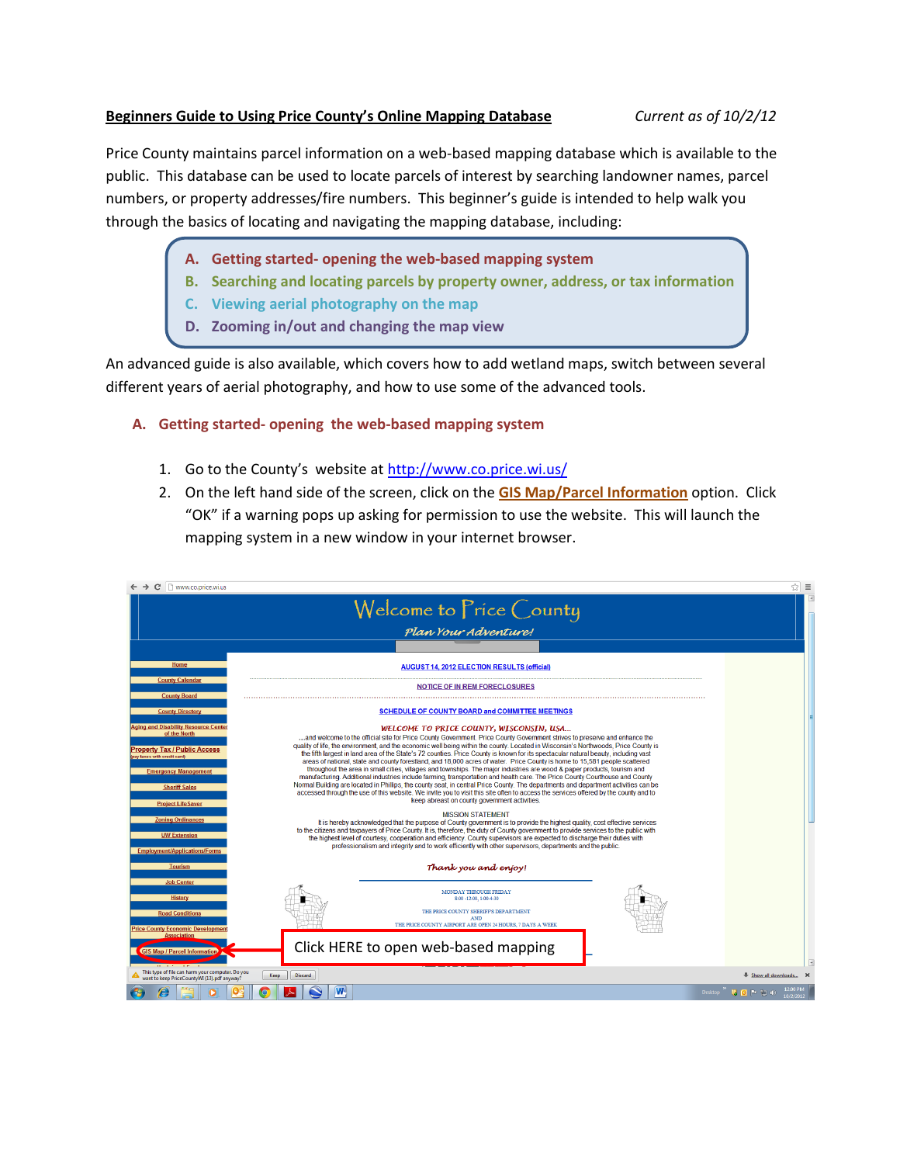## **Beginners Guide to Using Price County's Online Mapping Database** *Current as of 10/2/12*

Price County maintains parcel information on a web-based mapping database which is available to the public. This database can be used to locate parcels of interest by searching landowner names, parcel numbers, or property addresses/fire numbers. This beginner's guide is intended to help walk you through the basics of locating and navigating the mapping database, including:

- **A. Getting started- opening the web-based mapping system**
- **B. Searching and locating parcels by property owner, address, or tax information**
- **C. Viewing aerial photography on the map**
- **D. Zooming in/out and changing the map view**

An advanced guide is also available, which covers how to add wetland maps, switch between several different years of aerial photography, and how to use some of the advanced tools.

- **A. Getting started- opening the web-based mapping system** 
	- 1. Go to the County's website at <http://www.co.price.wi.us/>
	- 2. On the left hand side of the screen, click on the **GIS Map/Parcel Information** option. Click "OK" if a warning pops up asking for permission to use the website. This will launch the mapping system in a new window in your internet browser.

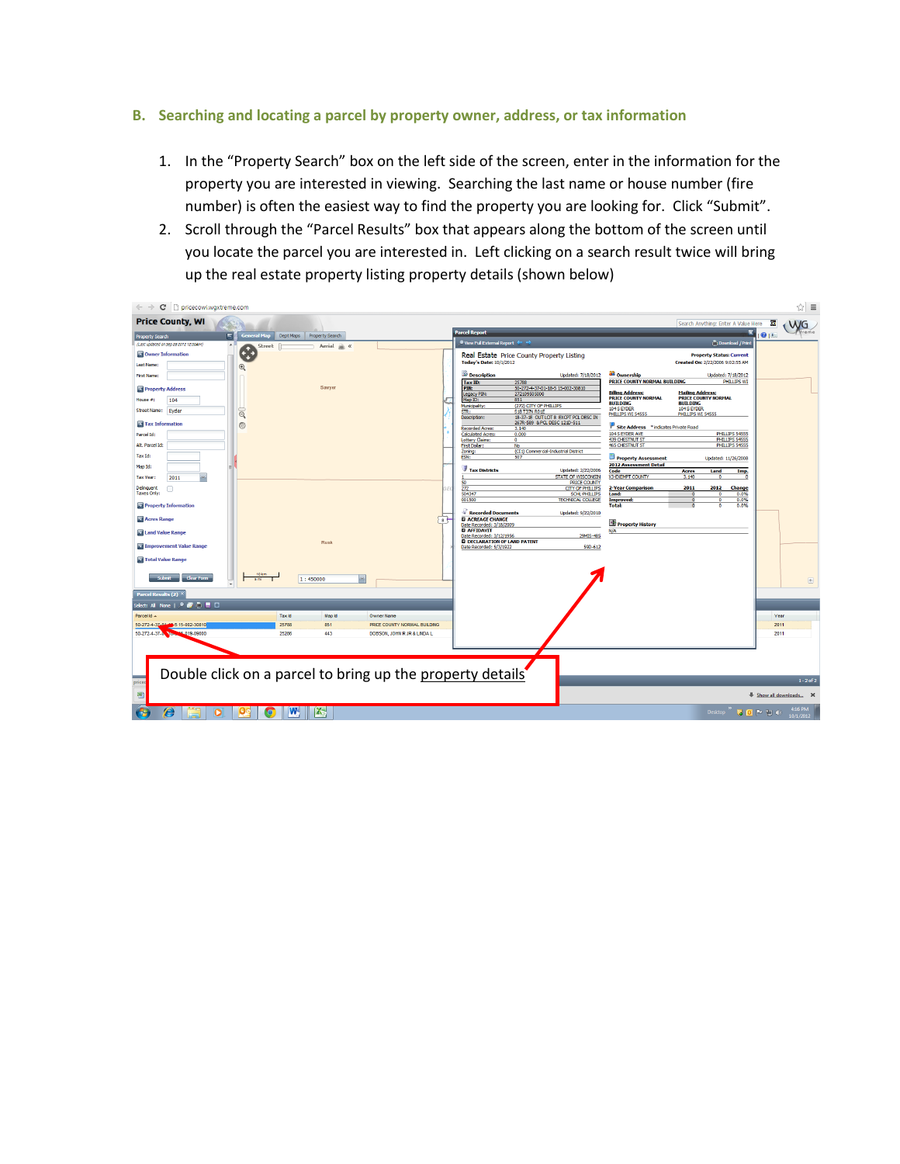- **B. Searching and locating a parcel by property owner, address, or tax information**
	- 1. In the "Property Search" box on the left side of the screen, enter in the information for the property you are interested in viewing. Searching the last name or house number (fire number) is often the easiest way to find the property you are looking for. Click "Submit".
	- 2. Scroll through the "Parcel Results" box that appears along the bottom of the screen until you locate the parcel you are interested in. Left clicking on a search result twice will bring up the real estate property listing property details (shown below)

| <b>Price County, WI</b><br>Search Anything: Enter A Value Here<br>Go<br><b>Parcel Report</b><br>911<br><b>General Map</b><br>Dept Maps Property Search<br>ਵ<br><b>Property Search</b><br>$\bullet$ View Full External Report $\leftarrow$ $\rightarrow$<br>Download / Print<br>(Last updated on Sep 28 2012 12:00AM)<br>Aerial <b>in</b> «<br>Street<br>G<br>Owner Information<br>Real Estate Price County Property Listing<br><b>Property Status: Current</b><br><b>Today's Date: 10/1/2012</b><br>Created On: 2/22/2006 9:02:55 AM<br>Last Name:<br>$^{\circledR}$<br><sup>32</sup> Ownership<br><b>Description</b><br>Updated: 7/18/2012<br><b>Updated: 7/18/2012</b><br>First Name:<br><b>PRICE COUNTY NORMAL BUILDING</b><br>PHILLIPS WI<br>Tax ID:<br>25788<br>50-272-4-37-01-18-5 15-002-30810<br>Sawyer<br>PIN:<br><b>Property Address</b><br><b>Mailing Address:</b><br><b>Billing Address:</b><br>272109505000<br>Legacy PIN:<br><b>PRICE COUNTY NORMAL</b><br><b>PRICE COUNTY NORMAL</b><br>851<br>104<br>Map ID:<br>House #:<br><b>BUILDING</b><br><b>BUILDING</b><br>(272) CITY OF PHILLIPS<br>Municipality:<br>104 S EYDER<br>104 S EYDER<br>Street Name: Eyder<br>ର୍<br>STR:<br><b>S18 T37N R01E</b><br>PHILLIPS WI 54555<br>PHILLIPS WI 54555<br>Description:<br>18-37-1E OUT LOT 8 EXCPT PCL DESC IN<br>267R-589 & PCL DESC 121D-511<br>Tax Information<br>◎<br>Site Address * indicates Private Road<br><b>Recorded Acres:</b><br>3.140 | WG<br>treme |  |  |  |
|-----------------------------------------------------------------------------------------------------------------------------------------------------------------------------------------------------------------------------------------------------------------------------------------------------------------------------------------------------------------------------------------------------------------------------------------------------------------------------------------------------------------------------------------------------------------------------------------------------------------------------------------------------------------------------------------------------------------------------------------------------------------------------------------------------------------------------------------------------------------------------------------------------------------------------------------------------------------------------------------------------------------------------------------------------------------------------------------------------------------------------------------------------------------------------------------------------------------------------------------------------------------------------------------------------------------------------------------------------------------------------------------------------------------------------------------------------------|-------------|--|--|--|
|                                                                                                                                                                                                                                                                                                                                                                                                                                                                                                                                                                                                                                                                                                                                                                                                                                                                                                                                                                                                                                                                                                                                                                                                                                                                                                                                                                                                                                                           |             |  |  |  |
|                                                                                                                                                                                                                                                                                                                                                                                                                                                                                                                                                                                                                                                                                                                                                                                                                                                                                                                                                                                                                                                                                                                                                                                                                                                                                                                                                                                                                                                           |             |  |  |  |
|                                                                                                                                                                                                                                                                                                                                                                                                                                                                                                                                                                                                                                                                                                                                                                                                                                                                                                                                                                                                                                                                                                                                                                                                                                                                                                                                                                                                                                                           |             |  |  |  |
|                                                                                                                                                                                                                                                                                                                                                                                                                                                                                                                                                                                                                                                                                                                                                                                                                                                                                                                                                                                                                                                                                                                                                                                                                                                                                                                                                                                                                                                           |             |  |  |  |
|                                                                                                                                                                                                                                                                                                                                                                                                                                                                                                                                                                                                                                                                                                                                                                                                                                                                                                                                                                                                                                                                                                                                                                                                                                                                                                                                                                                                                                                           |             |  |  |  |
|                                                                                                                                                                                                                                                                                                                                                                                                                                                                                                                                                                                                                                                                                                                                                                                                                                                                                                                                                                                                                                                                                                                                                                                                                                                                                                                                                                                                                                                           |             |  |  |  |
|                                                                                                                                                                                                                                                                                                                                                                                                                                                                                                                                                                                                                                                                                                                                                                                                                                                                                                                                                                                                                                                                                                                                                                                                                                                                                                                                                                                                                                                           |             |  |  |  |
|                                                                                                                                                                                                                                                                                                                                                                                                                                                                                                                                                                                                                                                                                                                                                                                                                                                                                                                                                                                                                                                                                                                                                                                                                                                                                                                                                                                                                                                           |             |  |  |  |
|                                                                                                                                                                                                                                                                                                                                                                                                                                                                                                                                                                                                                                                                                                                                                                                                                                                                                                                                                                                                                                                                                                                                                                                                                                                                                                                                                                                                                                                           |             |  |  |  |
|                                                                                                                                                                                                                                                                                                                                                                                                                                                                                                                                                                                                                                                                                                                                                                                                                                                                                                                                                                                                                                                                                                                                                                                                                                                                                                                                                                                                                                                           |             |  |  |  |
| 104 S EYDER AVE<br>PHILLIPS 54555<br>Parcel Id:<br><b>Calculated Acres:</b><br>0.000<br><b>439 CHESTNUT ST</b><br>PHILLIPS 54555<br>Lottery Claims:<br>$\Omega$                                                                                                                                                                                                                                                                                                                                                                                                                                                                                                                                                                                                                                                                                                                                                                                                                                                                                                                                                                                                                                                                                                                                                                                                                                                                                           |             |  |  |  |
| <b>465 CHESTNUT ST</b><br>PHILLIPS 54555<br>Alt. Parcel Id:<br><b>First Dollar:</b><br><b>No</b><br>(CI1) Commercial-Industrial District<br>Zoning:                                                                                                                                                                                                                                                                                                                                                                                                                                                                                                                                                                                                                                                                                                                                                                                                                                                                                                                                                                                                                                                                                                                                                                                                                                                                                                       |             |  |  |  |
| Tax Id:<br><b>Property Assessment</b><br>507<br>ESN:<br>Updated: 11/26/2008                                                                                                                                                                                                                                                                                                                                                                                                                                                                                                                                                                                                                                                                                                                                                                                                                                                                                                                                                                                                                                                                                                                                                                                                                                                                                                                                                                               |             |  |  |  |
| <b>2012 Assessment Detail</b><br>Map Id:<br>Tax Districts<br>Updated: 2/22/2006<br>Code<br><b>Acres</b><br>Land<br>Imp.                                                                                                                                                                                                                                                                                                                                                                                                                                                                                                                                                                                                                                                                                                                                                                                                                                                                                                                                                                                                                                                                                                                                                                                                                                                                                                                                   |             |  |  |  |
| X3-EXEMPT COUNTY<br>STATE OF WISCONSIN<br>3.140<br>$^{\circ}$<br><b>Tax Year:</b><br>2011<br>50<br><b>PRICE COUNTY</b>                                                                                                                                                                                                                                                                                                                                                                                                                                                                                                                                                                                                                                                                                                                                                                                                                                                                                                                                                                                                                                                                                                                                                                                                                                                                                                                                    |             |  |  |  |
| 272<br><b>2-Year Comparison</b><br>2011<br>2012<br>Delinquent<br>$\Box$<br><b>CITY OF PHILLIPS</b><br>Change                                                                                                                                                                                                                                                                                                                                                                                                                                                                                                                                                                                                                                                                                                                                                                                                                                                                                                                                                                                                                                                                                                                                                                                                                                                                                                                                              |             |  |  |  |
| Taxes Only:<br>504347<br><b>SCHL-PHILLIPS</b><br>Land:<br>0.0%<br>n<br>001500<br><b>TECHNICAL COLLEGE</b><br><b>Improved:</b><br>0.0%<br>$\Omega$<br>$\circ$                                                                                                                                                                                                                                                                                                                                                                                                                                                                                                                                                                                                                                                                                                                                                                                                                                                                                                                                                                                                                                                                                                                                                                                                                                                                                              |             |  |  |  |
| Property Information<br><b>Total:</b><br>$\overline{0}$<br>0.0%<br>$\Omega$                                                                                                                                                                                                                                                                                                                                                                                                                                                                                                                                                                                                                                                                                                                                                                                                                                                                                                                                                                                                                                                                                                                                                                                                                                                                                                                                                                               |             |  |  |  |
| Recorded Documents<br>Updated: 9/22/2010<br>$\overline{\bullet}$<br><b>Acres Range</b><br><b>Q ACREAGE CHANGE</b><br><b>Property History</b><br>Date Recorded: 3/18/2009                                                                                                                                                                                                                                                                                                                                                                                                                                                                                                                                                                                                                                                                                                                                                                                                                                                                                                                                                                                                                                                                                                                                                                                                                                                                                  |             |  |  |  |
| <b>Q AFFIDAVIT</b><br>N/A<br>Land Value Range<br>Date Recorded: 3/12/1956<br>29MIS-485                                                                                                                                                                                                                                                                                                                                                                                                                                                                                                                                                                                                                                                                                                                                                                                                                                                                                                                                                                                                                                                                                                                                                                                                                                                                                                                                                                    |             |  |  |  |
| <b>EL DECLARATION OF LAND PATENT</b><br><b>Rusk</b><br>Improvement Value Range<br>Date Recorded: 5/3/1922<br>590-612                                                                                                                                                                                                                                                                                                                                                                                                                                                                                                                                                                                                                                                                                                                                                                                                                                                                                                                                                                                                                                                                                                                                                                                                                                                                                                                                      |             |  |  |  |
| Total Value Range                                                                                                                                                                                                                                                                                                                                                                                                                                                                                                                                                                                                                                                                                                                                                                                                                                                                                                                                                                                                                                                                                                                                                                                                                                                                                                                                                                                                                                         |             |  |  |  |
| 10 km<br><b>Clear Form</b><br>Schmit-<br>1:450000<br>5 mi                                                                                                                                                                                                                                                                                                                                                                                                                                                                                                                                                                                                                                                                                                                                                                                                                                                                                                                                                                                                                                                                                                                                                                                                                                                                                                                                                                                                 | $  +  $     |  |  |  |
| Parcel Results (2) X                                                                                                                                                                                                                                                                                                                                                                                                                                                                                                                                                                                                                                                                                                                                                                                                                                                                                                                                                                                                                                                                                                                                                                                                                                                                                                                                                                                                                                      |             |  |  |  |
| Select: All None   27 0                                                                                                                                                                                                                                                                                                                                                                                                                                                                                                                                                                                                                                                                                                                                                                                                                                                                                                                                                                                                                                                                                                                                                                                                                                                                                                                                                                                                                                   |             |  |  |  |
| Parcel Id A<br>Tax Id<br>Map Id<br>Year<br>Owner Name                                                                                                                                                                                                                                                                                                                                                                                                                                                                                                                                                                                                                                                                                                                                                                                                                                                                                                                                                                                                                                                                                                                                                                                                                                                                                                                                                                                                     |             |  |  |  |
| 851<br>50-272-4-37.01-49-5 15-002-30810<br>25788<br>PRICE COUNTY NORMAL BUILDING<br>2011                                                                                                                                                                                                                                                                                                                                                                                                                                                                                                                                                                                                                                                                                                                                                                                                                                                                                                                                                                                                                                                                                                                                                                                                                                                                                                                                                                  |             |  |  |  |
| 6.019-09000<br>443<br>50-272-4-37-<br>25286<br>DOBSON, JOHN R JR & LINDA L<br>2011                                                                                                                                                                                                                                                                                                                                                                                                                                                                                                                                                                                                                                                                                                                                                                                                                                                                                                                                                                                                                                                                                                                                                                                                                                                                                                                                                                        |             |  |  |  |
|                                                                                                                                                                                                                                                                                                                                                                                                                                                                                                                                                                                                                                                                                                                                                                                                                                                                                                                                                                                                                                                                                                                                                                                                                                                                                                                                                                                                                                                           |             |  |  |  |
|                                                                                                                                                                                                                                                                                                                                                                                                                                                                                                                                                                                                                                                                                                                                                                                                                                                                                                                                                                                                                                                                                                                                                                                                                                                                                                                                                                                                                                                           |             |  |  |  |
|                                                                                                                                                                                                                                                                                                                                                                                                                                                                                                                                                                                                                                                                                                                                                                                                                                                                                                                                                                                                                                                                                                                                                                                                                                                                                                                                                                                                                                                           |             |  |  |  |
| Double click on a parcel to bring up the property details<br>$1 - 2$ of 2                                                                                                                                                                                                                                                                                                                                                                                                                                                                                                                                                                                                                                                                                                                                                                                                                                                                                                                                                                                                                                                                                                                                                                                                                                                                                                                                                                                 |             |  |  |  |
| prices                                                                                                                                                                                                                                                                                                                                                                                                                                                                                                                                                                                                                                                                                                                                                                                                                                                                                                                                                                                                                                                                                                                                                                                                                                                                                                                                                                                                                                                    |             |  |  |  |
| 圈<br>Show all downloads X                                                                                                                                                                                                                                                                                                                                                                                                                                                                                                                                                                                                                                                                                                                                                                                                                                                                                                                                                                                                                                                                                                                                                                                                                                                                                                                                                                                                                                 |             |  |  |  |
| ß,<br>Æ.<br>Desktop<br>$U$ $O$ $P$ $T$ $T$                                                                                                                                                                                                                                                                                                                                                                                                                                                                                                                                                                                                                                                                                                                                                                                                                                                                                                                                                                                                                                                                                                                                                                                                                                                                                                                                                                                                                |             |  |  |  |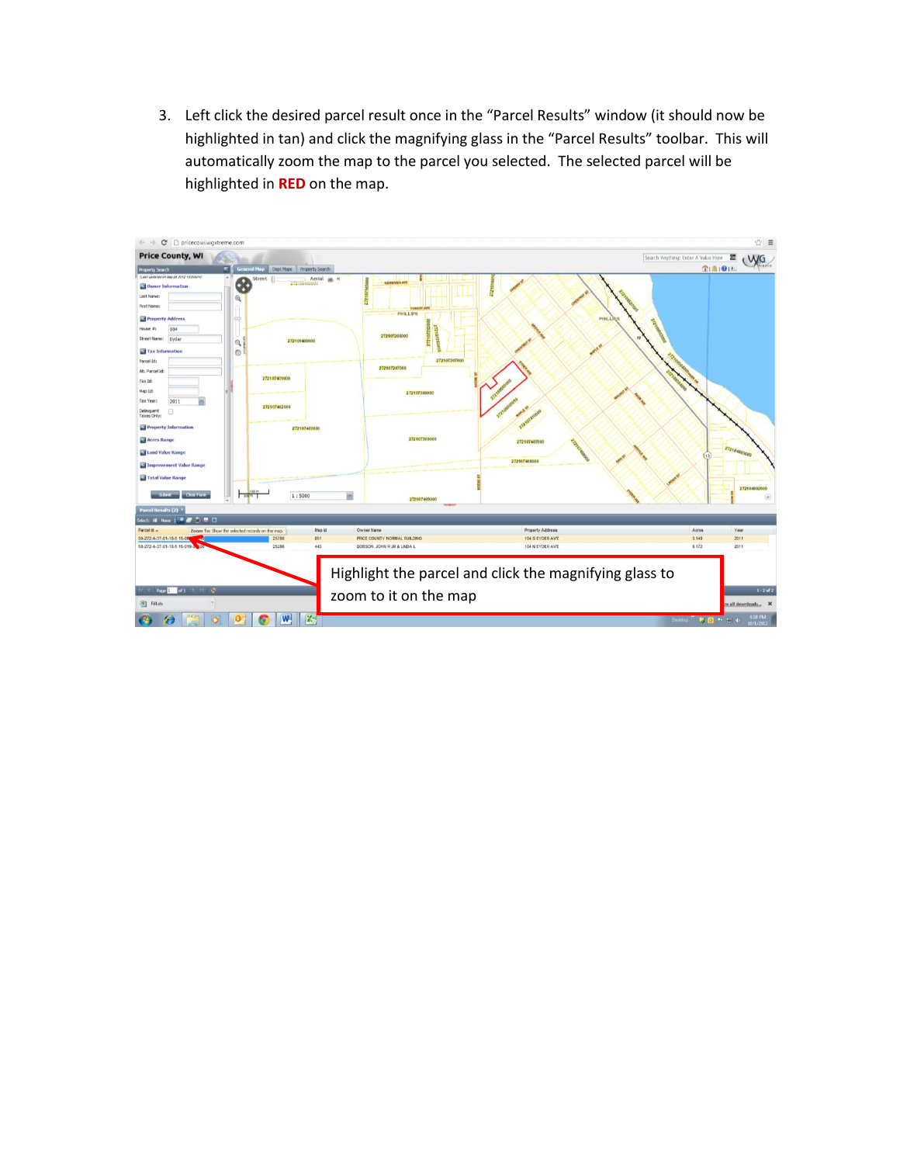3. Left click the desired parcel result once in the "Parcel Results" window (it should now be highlighted in tan) and click the magnifying glass in the "Parcel Results" toolbar. This will automatically zoom the map to the parcel you selected. The selected parcel will be highlighted in **RED** on the map.

| C D pricecowi.wgxtreme.com<br>$\begin{picture}(0,0) \put(0,0){\dashbox{0.5}(0,0){ }} \put(1,0){\dashbox{0.5}(0,0){ }} \put(1,0){\dashbox{0.5}(0,0){ }} \put(1,0){\dashbox{0.5}(0,0){ }} \put(1,0){\dashbox{0.5}(0,0){ }} \put(1,0){\dashbox{0.5}(0,0){ }} \put(1,0){\dashbox{0.5}(0,0){ }} \put(1,0){\dashbox{0.5}(0,0){ }} \put(1,0){\dashbox{0.5}(0,0){ }} \put(1,0){\dashbox{0.5}(0,0){ }} \put(1,0){\dashbox{$ |                                                  | ☆ ≡                                      |  |  |
|--------------------------------------------------------------------------------------------------------------------------------------------------------------------------------------------------------------------------------------------------------------------------------------------------------------------------------------------------------------------------------------------------------------------|--------------------------------------------------|------------------------------------------|--|--|
| <b>Price County, WI</b>                                                                                                                                                                                                                                                                                                                                                                                            |                                                  | Search Anything: Enter A Value Here<br>霊 |  |  |
| <b>General Map</b><br><b>Property Search</b><br>(Last updaced on Sep 28 2012 12:00AM)                                                                                                                                                                                                                                                                                                                              | Dept Maps Property Search                        | WG<br>企画图画                               |  |  |
| Street<br>0<br>Owner Information                                                                                                                                                                                                                                                                                                                                                                                   | Aerial a «<br><b>GERMANIA AV</b><br>272108405000 |                                          |  |  |
| Last Name:<br>$^\circledR$                                                                                                                                                                                                                                                                                                                                                                                         |                                                  |                                          |  |  |
| First Name:                                                                                                                                                                                                                                                                                                                                                                                                        | <b>PHILLIPS</b>                                  |                                          |  |  |
| <b>Property Address</b><br>œ                                                                                                                                                                                                                                                                                                                                                                                       |                                                  | <b>PHILLIP</b>                           |  |  |
| 104<br>House #                                                                                                                                                                                                                                                                                                                                                                                                     | 272107206000                                     |                                          |  |  |
| Street Name: Eyder<br>$Q_1$                                                                                                                                                                                                                                                                                                                                                                                        | 272109408000                                     |                                          |  |  |
| Tax Information<br>$\odot$                                                                                                                                                                                                                                                                                                                                                                                         |                                                  |                                          |  |  |
| Parcel Id:                                                                                                                                                                                                                                                                                                                                                                                                         | 272107307000<br>272107207000                     |                                          |  |  |
| Alt. Parcel Id:<br>272107401000                                                                                                                                                                                                                                                                                                                                                                                    |                                                  |                                          |  |  |
| Tax Id:<br>Map Id:                                                                                                                                                                                                                                                                                                                                                                                                 |                                                  |                                          |  |  |
| 2011<br>Tax Year                                                                                                                                                                                                                                                                                                                                                                                                   | 272107308000                                     |                                          |  |  |
| 272107402000<br>$\Box$<br>Delinquent                                                                                                                                                                                                                                                                                                                                                                               |                                                  |                                          |  |  |
| Taxes Only:                                                                                                                                                                                                                                                                                                                                                                                                        |                                                  |                                          |  |  |
| Property Information                                                                                                                                                                                                                                                                                                                                                                                               | 272107403000                                     |                                          |  |  |
| Acres Range                                                                                                                                                                                                                                                                                                                                                                                                        | 272107309000                                     | 27210740700                              |  |  |
| Land Value Range                                                                                                                                                                                                                                                                                                                                                                                                   |                                                  | 272104803001                             |  |  |
| Improvement Value Range                                                                                                                                                                                                                                                                                                                                                                                            |                                                  | 272107408000                             |  |  |
| Total Value Range                                                                                                                                                                                                                                                                                                                                                                                                  |                                                  |                                          |  |  |
| <b>Clear Form</b><br>School -                                                                                                                                                                                                                                                                                                                                                                                      | 1:5000                                           | 272104802000                             |  |  |
| <b>Parcel Results (2)</b>                                                                                                                                                                                                                                                                                                                                                                                          | 272107405000                                     |                                          |  |  |
| Select: All None   <sup>1</sup> 37 (2) 12 (2)                                                                                                                                                                                                                                                                                                                                                                      |                                                  |                                          |  |  |
| Parcel Id A<br>Zoom To: Show the selected records on the map.                                                                                                                                                                                                                                                                                                                                                      | Map Id<br>Owner Name                             | Year<br>Property Address<br>Acres        |  |  |
| 50-272-4-37-01-18-5 15-08<br>25788                                                                                                                                                                                                                                                                                                                                                                                 | 851<br>PRICE COUNTY NORMAL BUILDING              | 3.140<br>104 S EYDER AVE<br>2011         |  |  |
| 50-272-4-37-01-18-5 15-019-<br>25286                                                                                                                                                                                                                                                                                                                                                                               | 443<br>DOBSON, JOHN R JR & LINDA L               | 104 N EYDER AVE<br>0.172<br>2011         |  |  |
|                                                                                                                                                                                                                                                                                                                                                                                                                    |                                                  |                                          |  |  |
| Highlight the parcel and click the magnifying glass to                                                                                                                                                                                                                                                                                                                                                             |                                                  |                                          |  |  |
| F < Page 1 of 1 > 1 <<br>$1 - 2$ of 2                                                                                                                                                                                                                                                                                                                                                                              |                                                  |                                          |  |  |
|                                                                                                                                                                                                                                                                                                                                                                                                                    | zoom to it on the map                            |                                          |  |  |
| <sup>[8]</sup> Fill.xls                                                                                                                                                                                                                                                                                                                                                                                            |                                                  | w all downloads X                        |  |  |
| W                                                                                                                                                                                                                                                                                                                                                                                                                  | $\overline{\mathbf{x}}$                          | 4:18 PM<br>Desktop<br>$00 - 94$          |  |  |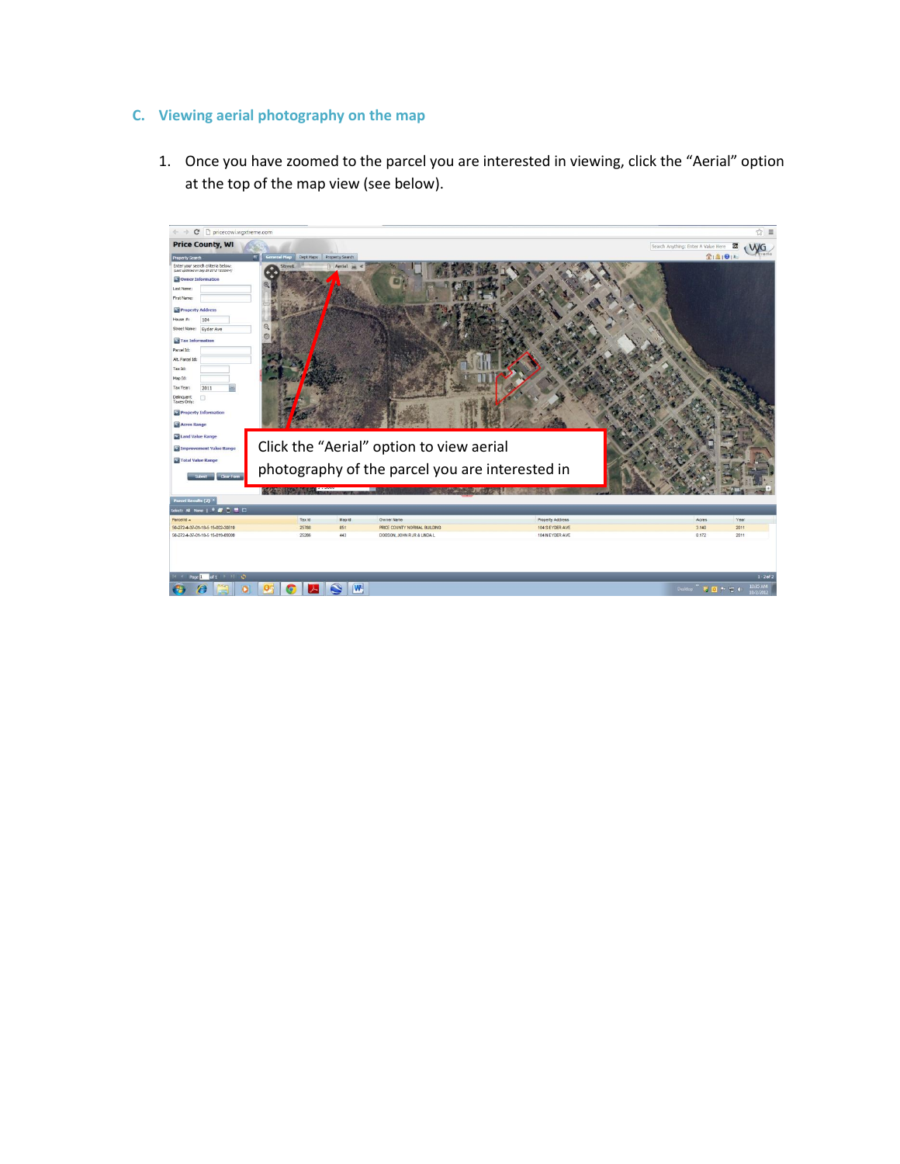## **C. Viewing aerial photography on the map**

1. Once you have zoomed to the parcel you are interested in viewing, click the "Aerial" option at the top of the map view (see below).